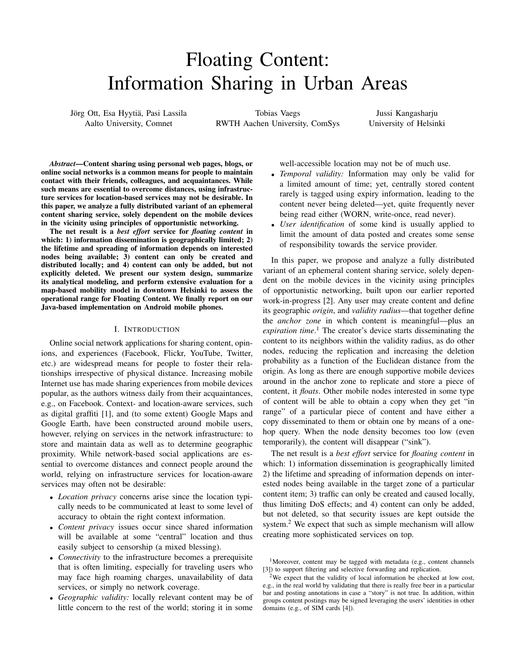# Floating Content: Information Sharing in Urban Areas

Jörg Ott, Esa Hyytiä, Pasi Lassila Aalto University, Comnet

Tobias Vaegs RWTH Aachen University, ComSys

Jussi Kangasharju University of Helsinki

*Abstract*—Content sharing using personal web pages, blogs, or online social networks is a common means for people to maintain contact with their friends, colleagues, and acquaintances. While such means are essential to overcome distances, using infrastructure services for location-based services may not be desirable. In this paper, we analyze a fully distributed variant of an ephemeral content sharing service, solely dependent on the mobile devices in the vicinity using principles of opportunistic networking.

The net result is a *best effort* service for *floating content* in which: 1) information dissemination is geographically limited; 2) the lifetime and spreading of information depends on interested nodes being available; 3) content can only be created and distributed locally; and 4) content can only be added, but not explicitly deleted. We present our system design, summarize its analytical modeling, and perform extensive evaluation for a map-based mobility model in downtown Helsinki to assess the operational range for Floating Content. We finally report on our Java-based implementation on Android mobile phones.

# I. INTRODUCTION

Online social network applications for sharing content, opinions, and experiences (Facebook, Flickr, YouTube, Twitter, etc.) are widespread means for people to foster their relationships irrespective of physical distance. Increasing mobile Internet use has made sharing experiences from mobile devices popular, as the authors witness daily from their acquaintances, e.g., on Facebook. Context- and location-aware services, such as digital graffiti [1], and (to some extent) Google Maps and Google Earth, have been constructed around mobile users, however, relying on services in the network infrastructure: to store and maintain data as well as to determine geographic proximity. While network-based social applications are essential to overcome distances and connect people around the world, relying on infrastructure services for location-aware services may often not be desirable:

- *Location privacy* concerns arise since the location typically needs to be communicated at least to some level of accuracy to obtain the right context information.
- *Content privacy* issues occur since shared information will be available at some "central" location and thus easily subject to censorship (a mixed blessing).
- *Connectivity* to the infrastructure becomes a prerequisite that is often limiting, especially for traveling users who may face high roaming charges, unavailability of data services, or simply no network coverage.
- *Geographic validity:* locally relevant content may be of little concern to the rest of the world; storing it in some

well-accessible location may not be of much use.

- *Temporal validity:* Information may only be valid for a limited amount of time; yet, centrally stored content rarely is tagged using expiry information, leading to the content never being deleted—yet, quite frequently never being read either (WORN, write-once, read never).
- *User identification* of some kind is usually applied to limit the amount of data posted and creates some sense of responsibility towards the service provider.

In this paper, we propose and analyze a fully distributed variant of an ephemeral content sharing service, solely dependent on the mobile devices in the vicinity using principles of opportunistic networking, built upon our earlier reported work-in-progress [2]. Any user may create content and define its geographic *origin*, and *validity radius*—that together define the *anchor zone* in which content is meaningful—plus an *expiration time*. <sup>1</sup> The creator's device starts disseminating the content to its neighbors within the validity radius, as do other nodes, reducing the replication and increasing the deletion probability as a function of the Euclidean distance from the origin. As long as there are enough supportive mobile devices around in the anchor zone to replicate and store a piece of content, it *floats*. Other mobile nodes interested in some type of content will be able to obtain a copy when they get "in range" of a particular piece of content and have either a copy disseminated to them or obtain one by means of a onehop query. When the node density becomes too low (even temporarily), the content will disappear ("sink").

The net result is a *best effort* service for *floating content* in which: 1) information dissemination is geographically limited 2) the lifetime and spreading of information depends on interested nodes being available in the target zone of a particular content item; 3) traffic can only be created and caused locally, thus limiting DoS effects; and 4) content can only be added, but not deleted, so that security issues are kept outside the system.<sup>2</sup> We expect that such as simple mechanism will allow creating more sophisticated services on top.

<sup>&</sup>lt;sup>1</sup>Moreover, content may be tagged with metadata (e.g., content channels [3]) to support filtering and selective forwarding and replication.

<sup>2</sup>We expect that the validity of local information be checked at low cost, e.g., in the real world by validating that there is really free beer in a particular bar and posting annotations in case a "story" is not true. In addition, within groups content postings may be signed leveraging the users' identities in other domains (e.g., of SIM cards [4]).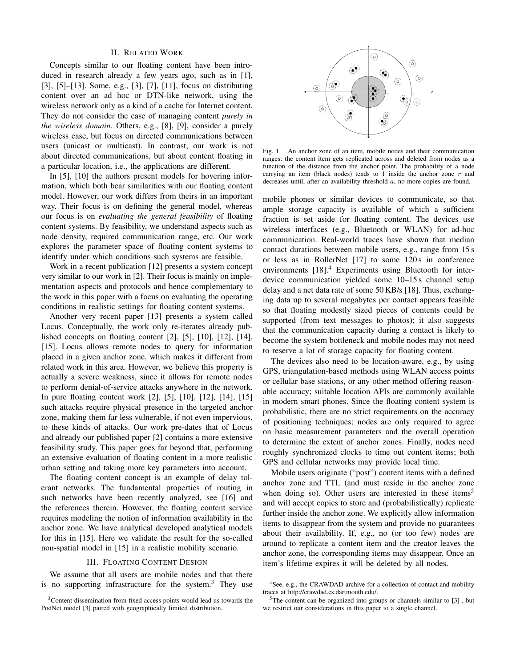#### II. RELATED WORK

Concepts similar to our floating content have been introduced in research already a few years ago, such as in [1], [3], [5]–[13]. Some, e.g., [3], [7], [11], focus on distributing content over an ad hoc or DTN-like network, using the wireless network only as a kind of a cache for Internet content. They do not consider the case of managing content *purely in the wireless domain*. Others, e.g., [8], [9], consider a purely wireless case, but focus on directed communications between users (unicast or multicast). In contrast, our work is not about directed communications, but about content floating in a particular location, i.e., the applications are different.

In [5], [10] the authors present models for hovering information, which both bear similarities with our floating content model. However, our work differs from theirs in an important way. Their focus is on defining the general model, whereas our focus is on *evaluating the general feasibility* of floating content systems. By feasibility, we understand aspects such as node density, required communication range, etc. Our work explores the parameter space of floating content systems to identify under which conditions such systems are feasible.

Work in a recent publication [12] presents a system concept very similar to our work in [2]. Their focus is mainly on implementation aspects and protocols and hence complementary to the work in this paper with a focus on evaluating the operating conditions in realistic settings for floating content systems.

Another very recent paper [13] presents a system called Locus. Conceptually, the work only re-iterates already published concepts on floating content [2], [5], [10], [12], [14], [15]. Locus allows remote nodes to query for information placed in a given anchor zone, which makes it different from related work in this area. However, we believe this property is actually a severe weakness, since it allows for remote nodes to perform denial-of-service attacks anywhere in the network. In pure floating content work [2], [5], [10], [12], [14], [15] such attacks require physical presence in the targeted anchor zone, making them far less vulnerable, if not even impervious, to these kinds of attacks. Our work pre-dates that of Locus and already our published paper [2] contains a more extensive feasibility study. This paper goes far beyond that, performing an extensive evaluation of floating content in a more realistic urban setting and taking more key parameters into account.

The floating content concept is an example of delay tolerant networks. The fundamental properties of routing in such networks have been recently analyzed, see [16] and the references therein. However, the floating content service requires modeling the notion of information availability in the anchor zone. We have analytical developed analytical models for this in [15]. Here we validate the result for the so-called non-spatial model in [15] in a realistic mobility scenario.

#### III. FLOATING CONTENT DESIGN

We assume that all users are mobile nodes and that there is no supporting infrastructure for the system.<sup>3</sup> They use



Fig. 1. An anchor zone of an item, mobile nodes and their communication ranges: the content item gets replicated across and deleted from nodes as a function of the distance from the anchor point. The probability of a node carrying an item (black nodes) tends to 1 inside the anchor zone  $r$  and decreases until, after an availability threshold a, no more copies are found.

mobile phones or similar devices to communicate, so that ample storage capacity is available of which a sufficient fraction is set aside for floating content. The devices use wireless interfaces (e.g., Bluetooth or WLAN) for ad-hoc communication. Real-world traces have shown that median contact durations between mobile users, e.g., range from 15 s or less as in RollerNet [17] to some 120 s in conference environments [18].<sup>4</sup> Experiments using Bluetooth for interdevice communication yielded some 10–15 s channel setup delay and a net data rate of some 50 KB/s [18]. Thus, exchanging data up to several megabytes per contact appears feasible so that floating modestly sized pieces of contents could be supported (from text messages to photos); it also suggests that the communication capacity during a contact is likely to become the system bottleneck and mobile nodes may not need to reserve a lot of storage capacity for floating content.

The devices also need to be location-aware, e.g., by using GPS, triangulation-based methods using WLAN access points or cellular base stations, or any other method offering reasonable accuracy; suitable location APIs are commonly available in modern smart phones. Since the floating content system is probabilistic, there are no strict requirements on the accuracy of positioning techniques; nodes are only required to agree on basic measurement parameters and the overall operation to determine the extent of anchor zones. Finally, nodes need roughly synchronized clocks to time out content items; both GPS and cellular networks may provide local time.

Mobile users originate ("post") content items with a defined anchor zone and TTL (and must reside in the anchor zone when doing so). Other users are interested in these items<sup>5</sup> and will accept copies to store and (probabilistically) replicate further inside the anchor zone. We explicitly allow information items to disappear from the system and provide no guarantees about their availability. If, e.g., no (or too few) nodes are around to replicate a content item and the creator leaves the anchor zone, the corresponding items may disappear. Once an item's lifetime expires it will be deleted by all nodes.

<sup>&</sup>lt;sup>3</sup>Content dissemination from fixed access points would lead us towards the PodNet model [3] paired with geographically limited distribution.

<sup>&</sup>lt;sup>4</sup>See, e.g., the CRAWDAD archive for a collection of contact and mobility traces at http://crawdad.cs.dartmouth.edu/.

<sup>5</sup>The content can be organized into groups or channels similar to [3] , but we restrict our considerations in this paper to a single channel.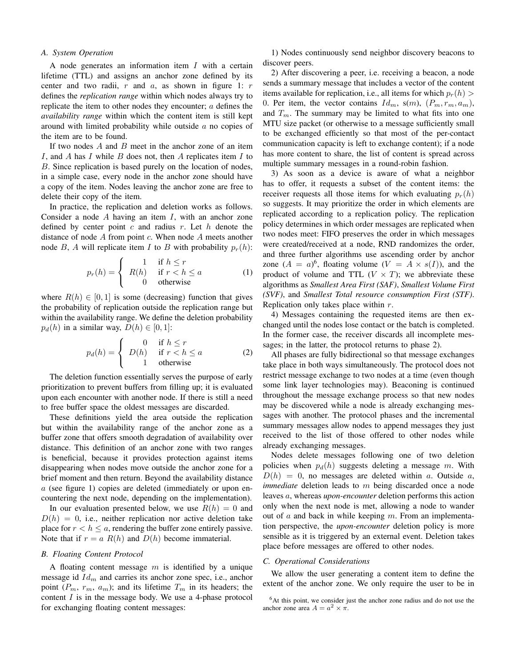## *A. System Operation*

A node generates an information item I with a certain lifetime (TTL) and assigns an anchor zone defined by its center and two radii, r and  $a$ , as shown in figure 1: r defines the *replication range* within which nodes always try to replicate the item to other nodes they encounter; a defines the *availability range* within which the content item is still kept around with limited probability while outside a no copies of the item are to be found.

If two nodes A and B meet in the anchor zone of an item I, and A has I while B does not, then A replicates item I to B. Since replication is based purely on the location of nodes, in a simple case, every node in the anchor zone should have a copy of the item. Nodes leaving the anchor zone are free to delete their copy of the item.

In practice, the replication and deletion works as follows. Consider a node  $A$  having an item  $I$ , with an anchor zone defined by center point  $c$  and radius  $r$ . Let  $h$  denote the distance of node  $A$  from point  $c$ . When node  $A$  meets another node B, A will replicate item I to B with probability  $p_r(h)$ :

$$
p_r(h) = \begin{cases} 1 & \text{if } h \le r \\ R(h) & \text{if } r < h \le a \\ 0 & \text{otherwise} \end{cases}
$$
 (1)

where  $R(h) \in [0, 1]$  is some (decreasing) function that gives the probability of replication outside the replication range but within the availability range. We define the deletion probability  $p_d(h)$  in a similar way,  $D(h) \in [0,1]$ :

$$
p_d(h) = \begin{cases} 0 & \text{if } h \le r \\ D(h) & \text{if } r < h \le a \\ 1 & \text{otherwise} \end{cases}
$$
 (2)

The deletion function essentially serves the purpose of early prioritization to prevent buffers from filling up; it is evaluated upon each encounter with another node. If there is still a need to free buffer space the oldest messages are discarded.

These definitions yield the area outside the replication but within the availability range of the anchor zone as a buffer zone that offers smooth degradation of availability over distance. This definition of an anchor zone with two ranges is beneficial, because it provides protection against items disappearing when nodes move outside the anchor zone for a brief moment and then return. Beyond the availability distance  $a$  (see figure 1) copies are deleted (immediately or upon encountering the next node, depending on the implementation).

In our evaluation presented below, we use  $R(h) = 0$  and  $D(h) = 0$ , i.e., neither replication nor active deletion take place for  $r < h \le a$ , rendering the buffer zone entirely passive. Note that if  $r = a R(h)$  and  $D(h)$  become immaterial.

### *B. Floating Content Protocol*

A floating content message  $m$  is identified by a unique message id  $Id<sub>m</sub>$  and carries its anchor zone spec, i.e., anchor point  $(P_m, r_m, a_m)$ ; and its lifetime  $T_m$  in its headers; the content  $I$  is in the message body. We use a 4-phase protocol for exchanging floating content messages:

1) Nodes continuously send neighbor discovery beacons to discover peers.

2) After discovering a peer, i.e. receiving a beacon, a node sends a summary message that includes a vector of the content items available for replication, i.e., all items for which  $p_r(h)$ 0. Per item, the vector contains  $Id_m$ ,  $s(m)$ ,  $(P_m, r_m, a_m)$ , and  $T_m$ . The summary may be limited to what fits into one MTU size packet (or otherwise to a message sufficiently small to be exchanged efficiently so that most of the per-contact communication capacity is left to exchange content); if a node has more content to share, the list of content is spread across multiple summary messages in a round-robin fashion.

3) As soon as a device is aware of what a neighbor has to offer, it requests a subset of the content items: the receiver requests all those items for which evaluating  $p_r(h)$ so suggests. It may prioritize the order in which elements are replicated according to a replication policy. The replication policy determines in which order messages are replicated when two nodes meet: FIFO preserves the order in which messages were created/received at a node, RND randomizes the order, and three further algorithms use ascending order by anchor zone  $(A = a)^6$ , floating volume  $(V = A \times s(I))$ , and the product of volume and TTL  $(V \times T)$ ; we abbreviate these algorithms as *Smallest Area First (SAF)*, *Smallest Volume First (SVF)*, and *Smallest Total resource consumption First (STF)*. Replication only takes place within  $r$ .

4) Messages containing the requested items are then exchanged until the nodes lose contact or the batch is completed. In the former case, the receiver discards all incomplete messages; in the latter, the protocol returns to phase 2).

All phases are fully bidirectional so that message exchanges take place in both ways simultaneously. The protocol does not restrict message exchange to two nodes at a time (even though some link layer technologies may). Beaconing is continued throughout the message exchange process so that new nodes may be discovered while a node is already exchanging messages with another. The protocol phases and the incremental summary messages allow nodes to append messages they just received to the list of those offered to other nodes while already exchanging messages.

Nodes delete messages following one of two deletion policies when  $p_d(h)$  suggests deleting a message m. With  $D(h) = 0$ , no messages are deleted within a. Outside a, *immediate* deletion leads to m being discarded once a node leaves a, whereas *upon-encounter* deletion performs this action only when the next node is met, allowing a node to wander out of  $\alpha$  and back in while keeping  $m$ . From an implementation perspective, the *upon-encounter* deletion policy is more sensible as it is triggered by an external event. Deletion takes place before messages are offered to other nodes.

# *C. Operational Considerations*

We allow the user generating a content item to define the extent of the anchor zone. We only require the user to be in

<sup>&</sup>lt;sup>6</sup>At this point, we consider just the anchor zone radius and do not use the anchor zone area  $A = a^2 \times \pi$ .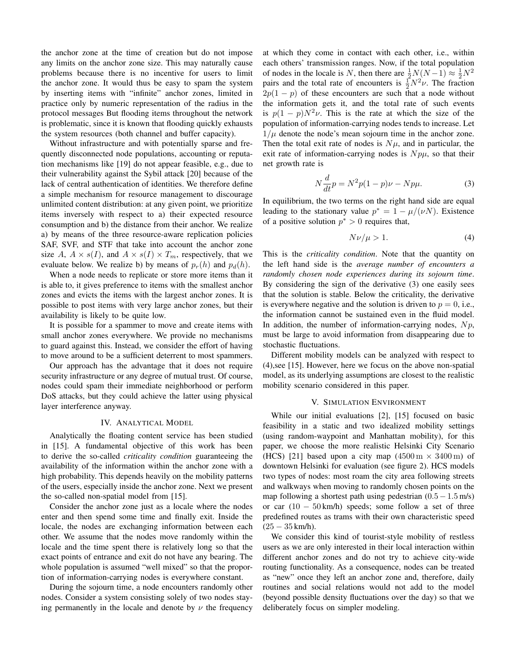the anchor zone at the time of creation but do not impose any limits on the anchor zone size. This may naturally cause problems because there is no incentive for users to limit the anchor zone. It would thus be easy to spam the system by inserting items with "infinite" anchor zones, limited in practice only by numeric representation of the radius in the protocol messages But flooding items throughout the network is problematic, since it is known that flooding quickly exhausts the system resources (both channel and buffer capacity).

Without infrastructure and with potentially sparse and frequently disconnected node populations, accounting or reputation mechanisms like [19] do not appear feasible, e.g., due to their vulnerability against the Sybil attack [20] because of the lack of central authentication of identities. We therefore define a simple mechanism for resource management to discourage unlimited content distribution: at any given point, we prioritize items inversely with respect to a) their expected resource consumption and b) the distance from their anchor. We realize a) by means of the three resource-aware replication policies SAF, SVF, and STF that take into account the anchor zone size A,  $A \times s(I)$ , and  $A \times s(I) \times T_m$ , respectively, that we evaluate below. We realize b) by means of  $p_r(h)$  and  $p_d(h)$ .

When a node needs to replicate or store more items than it is able to, it gives preference to items with the smallest anchor zones and evicts the items with the largest anchor zones. It is possible to post items with very large anchor zones, but their availability is likely to be quite low.

It is possible for a spammer to move and create items with small anchor zones everywhere. We provide no mechanisms to guard against this. Instead, we consider the effort of having to move around to be a sufficient deterrent to most spammers.

Our approach has the advantage that it does not require security infrastructure or any degree of mutual trust. Of course, nodes could spam their immediate neighborhood or perform DoS attacks, but they could achieve the latter using physical layer interference anyway.

## IV. ANALYTICAL MODEL

Analytically the floating content service has been studied in [15]. A fundamental objective of this work has been to derive the so-called *criticality condition* guaranteeing the availability of the information within the anchor zone with a high probability. This depends heavily on the mobility patterns of the users, especially inside the anchor zone. Next we present the so-called non-spatial model from [15].

Consider the anchor zone just as a locale where the nodes enter and then spend some time and finally exit. Inside the locale, the nodes are exchanging information between each other. We assume that the nodes move randomly within the locale and the time spent there is relatively long so that the exact points of entrance and exit do not have any bearing. The whole population is assumed "well mixed" so that the proportion of information-carrying nodes is everywhere constant.

During the sojourn time, a node encounters randomly other nodes. Consider a system consisting solely of two nodes staying permanently in the locale and denote by  $\nu$  the frequency at which they come in contact with each other, i.e., within each others' transmission ranges. Now, if the total population of nodes in the locale is N, then there are  $\frac{1}{2}N(N-1) \approx \frac{1}{2}N^2$ pairs and the total rate of encounters is  $\frac{1}{2}N^2\nu$ . The fraction  $2p(1-p)$  of these encounters are such that a node without the information gets it, and the total rate of such events is  $p(1 - p)N^2 \nu$ . This is the rate at which the size of the population of information-carrying nodes tends to increase. Let  $1/\mu$  denote the node's mean sojourn time in the anchor zone. Then the total exit rate of nodes is  $N\mu$ , and in particular, the exit rate of information-carrying nodes is  $N_{\mu}$ , so that their net growth rate is

$$
N\frac{d}{dt}p = N^2p(1-p)\nu - Np\mu.
$$
 (3)

In equilibrium, the two terms on the right hand side are equal leading to the stationary value  $p^* = 1 - \mu/(\nu N)$ . Existence of a positive solution  $p^* > 0$  requires that,

$$
N\nu/\mu > 1.
$$
 (4)

This is the *criticality condition*. Note that the quantity on the left hand side is the *average number of encounters a randomly chosen node experiences during its sojourn time*. By considering the sign of the derivative (3) one easily sees that the solution is stable. Below the criticality, the derivative is everywhere negative and the solution is driven to  $p = 0$ , i.e., the information cannot be sustained even in the fluid model. In addition, the number of information-carrying nodes,  $N_p$ , must be large to avoid information from disappearing due to stochastic fluctuations.

Different mobility models can be analyzed with respect to (4),see [15]. However, here we focus on the above non-spatial model, as its underlying assumptions are closest to the realistic mobility scenario considered in this paper.

## V. SIMULATION ENVIRONMENT

While our initial evaluations [2], [15] focused on basic feasibility in a static and two idealized mobility settings (using random-waypoint and Manhattan mobility), for this paper, we choose the more realistic Helsinki City Scenario (HCS) [21] based upon a city map  $(4500 \,\mathrm{m} \times 3400 \,\mathrm{m})$  of downtown Helsinki for evaluation (see figure 2). HCS models two types of nodes: most roam the city area following streets and walkways when moving to randomly chosen points on the map following a shortest path using pedestrian  $(0.5-1.5 \text{ m/s})$ or car  $(10 - 50 \text{ km/h})$  speeds; some follow a set of three predefined routes as trams with their own characteristic speed  $(25 - 35 \text{ km/h}).$ 

We consider this kind of tourist-style mobility of restless users as we are only interested in their local interaction within different anchor zones and do not try to achieve city-wide routing functionality. As a consequence, nodes can be treated as "new" once they left an anchor zone and, therefore, daily routines and social relations would not add to the model (beyond possible density fluctuations over the day) so that we deliberately focus on simpler modeling.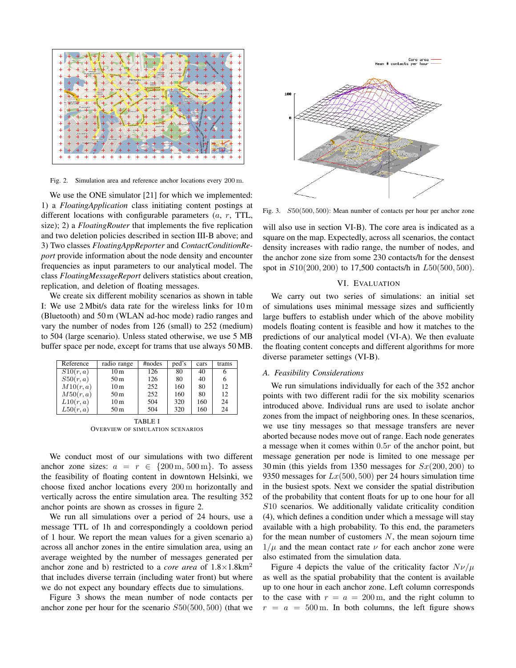

Fig. 2. Simulation area and reference anchor locations every 200 m.

We use the ONE simulator [21] for which we implemented: 1) a *FloatingApplication* class initiating content postings at different locations with configurable parameters  $(a, r, TTL, TTL)$ size); 2) a *FloatingRouter* that implements the five replication and two deletion policies described in section III-B above; and 3) Two classes *FloatingAppReporter* and *ContactConditionReport* provide information about the node density and encounter frequencies as input parameters to our analytical model. The class *FloatingMessageReport* delivers statistics about creation, replication, and deletion of floating messages.

We create six different mobility scenarios as shown in table I: We use 2 Mbit/s data rate for the wireless links for 10 m (Bluetooth) and 50 m (WLAN ad-hoc mode) radio ranges and vary the number of nodes from 126 (small) to 252 (medium) to 504 (large scenario). Unless stated otherwise, we use 5 MB buffer space per node, except for trams that use always 50 MB.

| Reference | radio range     | #nodes | ped's | cars | trams |
|-----------|-----------------|--------|-------|------|-------|
| S10(r,a)  | 10 <sub>m</sub> | 126    | 80    | 40   | n     |
| S50(r, a) | 50 <sub>m</sub> | 126    | 80    | 40   | 6     |
| M10(r,a)  | 10 <sub>m</sub> | 252    | 160   | 80   | 12    |
| M50(r, a) | 50 m            | 252    | 160   | 80   | 12    |
| L10(r,a)  | 10 <sub>m</sub> | 504    | 320   | 160  | 24    |
| L50(r, a) | 50 m            | 504    | 320   | 160  | 24    |

TABLE I OVERVIEW OF SIMULATION SCENARIOS

We conduct most of our simulations with two different anchor zone sizes:  $a = r \in \{200 \text{ m}, 500 \text{ m}\}\.$  To assess the feasibility of floating content in downtown Helsinki, we choose fixed anchor locations every 200 m horizontally and vertically across the entire simulation area. The resulting 352 anchor points are shown as crosses in figure 2.

We run all simulations over a period of 24 hours, use a message TTL of 1h and correspondingly a cooldown period of 1 hour. We report the mean values for a given scenario a) across all anchor zones in the entire simulation area, using an average weighted by the number of messages generated per anchor zone and b) restricted to a *core area* of  $1.8 \times 1.8$ km<sup>2</sup> that includes diverse terrain (including water front) but where we do not expect any boundary effects due to simulations.

Figure 3 shows the mean number of node contacts per anchor zone per hour for the scenario  $S50(500, 500)$  (that we



Fig. 3. S50(500, 500): Mean number of contacts per hour per anchor zone

will also use in section VI-B). The core area is indicated as a square on the map. Expectedly, across all scenarios, the contact density increases with radio range, the number of nodes, and the anchor zone size from some 230 contacts/h for the densest spot in  $S10(200, 200)$  to 17,500 contacts/h in  $L50(500, 500)$ .

# VI. EVALUATION

We carry out two series of simulations: an initial set of simulations uses minimal message sizes and sufficiently large buffers to establish under which of the above mobility models floating content is feasible and how it matches to the predictions of our analytical model (VI-A). We then evaluate the floating content concepts and different algorithms for more diverse parameter settings (VI-B).

#### *A. Feasibility Considerations*

We run simulations individually for each of the 352 anchor points with two different radii for the six mobility scenarios introduced above. Individual runs are used to isolate anchor zones from the impact of neighboring ones. In these scenarios, we use tiny messages so that message transfers are never aborted because nodes move out of range. Each node generates a message when it comes within 0.5r of the anchor point, but message generation per node is limited to one message per 30 min (this yields from 1350 messages for  $S_x(200, 200)$  to 9350 messages for  $Lx(500, 500)$  per 24 hours simulation time in the busiest spots. Next we consider the spatial distribution of the probability that content floats for up to one hour for all S10 scenarios. We additionally validate criticality condition (4), which defines a condition under which a message will stay available with a high probability. To this end, the parameters for the mean number of customers  $N$ , the mean sojourn time  $1/\mu$  and the mean contact rate  $\nu$  for each anchor zone were also estimated from the simulation data.

Figure 4 depicts the value of the criticality factor  $N\nu/\mu$ as well as the spatial probability that the content is available up to one hour in each anchor zone. Left column corresponds to the case with  $r = a = 200 \,\text{m}$ , and the right column to  $r = a = 500$  m. In both columns, the left figure shows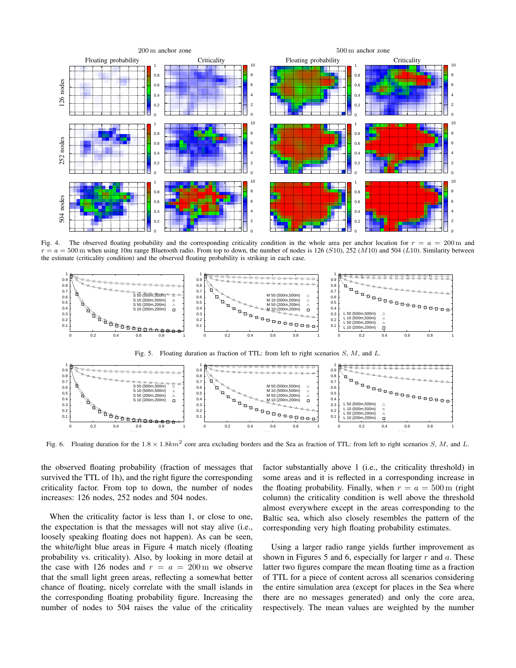

Fig. 4. The observed floating probability and the corresponding criticality condition in the whole area per anchor location for  $r = a = 200$  m and  $r = a = 500$  m when using 10m range Bluetooth radio. From top to down, the number of nodes is 126 (S10), 252 (M10) and 504 (L10). Similarity between the estimate (criticality condition) and the observed floating probability is striking in each case.



Fig. 6. Floating duration for the  $1.8 \times 1.8 km^2$  core area excluding borders and the Sea as fraction of TTL: from left to right scenarios S, M, and L.

the observed floating probability (fraction of messages that survived the TTL of 1h), and the right figure the corresponding criticality factor. From top to down, the number of nodes increases: 126 nodes, 252 nodes and 504 nodes.

When the criticality factor is less than 1, or close to one, the expectation is that the messages will not stay alive (i.e., loosely speaking floating does not happen). As can be seen, the white/light blue areas in Figure 4 match nicely (floating probability vs. criticality). Also, by looking in more detail at the case with 126 nodes and  $r = a = 200 \,\mathrm{m}$  we observe that the small light green areas, reflecting a somewhat better chance of floating, nicely correlate with the small islands in the corresponding floating probability figure. Increasing the number of nodes to 504 raises the value of the criticality

factor substantially above 1 (i.e., the criticality threshold) in some areas and it is reflected in a corresponding increase in the floating probability. Finally, when  $r = a = 500 \text{ m}$  (right column) the criticality condition is well above the threshold almost everywhere except in the areas corresponding to the Baltic sea, which also closely resembles the pattern of the corresponding very high floating probability estimates.

Using a larger radio range yields further improvement as shown in Figures 5 and 6, especially for larger  $r$  and  $a$ . These latter two figures compare the mean floating time as a fraction of TTL for a piece of content across all scenarios considering the entire simulation area (except for places in the Sea where there are no messages generated) and only the core area, respectively. The mean values are weighted by the number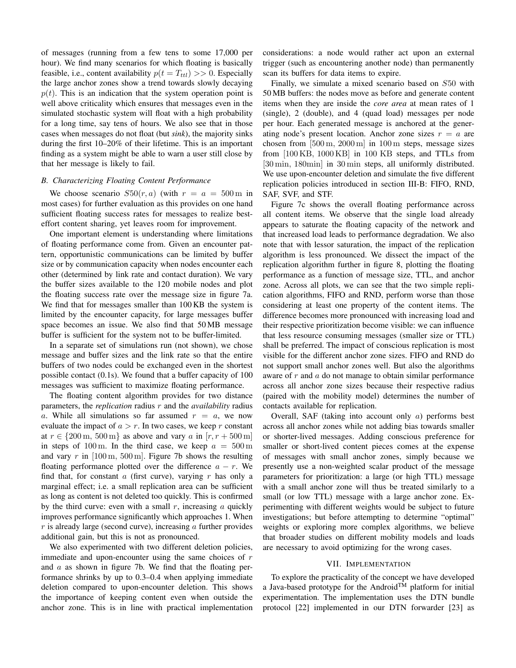of messages (running from a few tens to some 17,000 per hour). We find many scenarios for which floating is basically feasible, i.e., content availability  $p(t = T_{tt}) >> 0$ . Especially the large anchor zones show a trend towards slowly decaying  $p(t)$ . This is an indication that the system operation point is well above criticality which ensures that messages even in the simulated stochastic system will float with a high probability for a long time, say tens of hours. We also see that in those cases when messages do not float (but *sink*), the majority sinks during the first 10–20% of their lifetime. This is an important finding as a system might be able to warn a user still close by that her message is likely to fail.

# *B. Characterizing Floating Content Performance*

We choose scenario  $S50(r, a)$  (with  $r = a = 500 \text{ m}$  in most cases) for further evaluation as this provides on one hand sufficient floating success rates for messages to realize besteffort content sharing, yet leaves room for improvement.

One important element is understanding where limitations of floating performance come from. Given an encounter pattern, opportunistic communications can be limited by buffer size or by communication capacity when nodes encounter each other (determined by link rate and contact duration). We vary the buffer sizes available to the 120 mobile nodes and plot the floating success rate over the message size in figure 7a. We find that for messages smaller than  $100$  KB the system is limited by the encounter capacity, for large messages buffer space becomes an issue. We also find that 50 MB message buffer is sufficient for the system not to be buffer-limited.

In a separate set of simulations run (not shown), we chose message and buffer sizes and the link rate so that the entire buffers of two nodes could be exchanged even in the shortest possible contact (0.1s). We found that a buffer capacity of 100 messages was sufficient to maximize floating performance.

The floating content algorithm provides for two distance parameters, the *replication* radius r and the *availability* radius a. While all simulations so far assumed  $r = a$ , we now evaluate the impact of  $a > r$ . In two cases, we keep r constant at  $r \in \{200 \,\text{m}, 500 \,\text{m}\}\$ as above and vary a in  $[r, r + 500 \,\text{m}]$ in steps of 100 m. In the third case, we keep  $a = 500 \,\mathrm{m}$ and vary r in  $[100 \text{ m}, 500 \text{ m}]$ . Figure 7b shows the resulting floating performance plotted over the difference  $a - r$ . We find that, for constant  $\alpha$  (first curve), varying  $r$  has only a marginal effect; i.e. a small replication area can be sufficient as long as content is not deleted too quickly. This is confirmed by the third curve: even with a small r, increasing a quickly improves performance significantly which approaches 1. When  $r$  is already large (second curve), increasing  $\alpha$  further provides additional gain, but this is not as pronounced.

We also experimented with two different deletion policies, immediate and upon-encounter using the same choices of  $r$ and  $\alpha$  as shown in figure 7b. We find that the floating performance shrinks by up to 0.3–0.4 when applying immediate deletion compared to upon-encounter deletion. This shows the importance of keeping content even when outside the anchor zone. This is in line with practical implementation considerations: a node would rather act upon an external trigger (such as encountering another node) than permanently scan its buffers for data items to expire.

Finally, we simulate a mixed scenario based on S50 with 50 MB buffers: the nodes move as before and generate content items when they are inside the *core area* at mean rates of 1 (single), 2 (double), and 4 (quad load) messages per node per hour. Each generated message is anchored at the generating node's present location. Anchor zone sizes  $r = a$  are chosen from  $[500 \text{ m}, 2000 \text{ m}]$  in  $100 \text{ m}$  steps, message sizes from [100 KB, 1000 KB] in 100 KB steps, and TTLs from [30 min, 180 min] in 30 min steps, all uniformly distributed. We use upon-encounter deletion and simulate the five different replication policies introduced in section III-B: FIFO, RND, SAF, SVF, and STF.

Figure 7c shows the overall floating performance across all content items. We observe that the single load already appears to saturate the floating capacity of the network and that increased load leads to performance degradation. We also note that with lessor saturation, the impact of the replication algorithm is less pronounced. We dissect the impact of the replication algorithm further in figure 8, plotting the floating performance as a function of message size, TTL, and anchor zone. Across all plots, we can see that the two simple replication algorithms, FIFO and RND, perform worse than those considering at least one property of the content items. The difference becomes more pronounced with increasing load and their respective prioritization become visible: we can influence that less resource consuming messages (smaller size or TTL) shall be preferred. The impact of conscious replication is most visible for the different anchor zone sizes. FIFO and RND do not support small anchor zones well. But also the algorithms aware of  $r$  and  $a$  do not manage to obtain similar performance across all anchor zone sizes because their respective radius (paired with the mobility model) determines the number of contacts available for replication.

Overall, SAF (taking into account only  $a$ ) performs best across all anchor zones while not adding bias towards smaller or shorter-lived messages. Adding conscious preference for smaller or short-lived content pieces comes at the expense of messages with small anchor zones, simply because we presently use a non-weighted scalar product of the message parameters for prioritization: a large (or high TTL) message with a small anchor zone will thus be treated similarly to a small (or low TTL) message with a large anchor zone. Experimenting with different weights would be subject to future investigations; but before attempting to determine "optimal" weights or exploring more complex algorithms, we believe that broader studies on different mobility models and loads are necessary to avoid optimizing for the wrong cases.

#### VII. IMPLEMENTATION

To explore the practicality of the concept we have developed a Java-based prototype for the Android<sup>TM</sup> platform for initial experimentation. The implementation uses the DTN bundle protocol [22] implemented in our DTN forwarder [23] as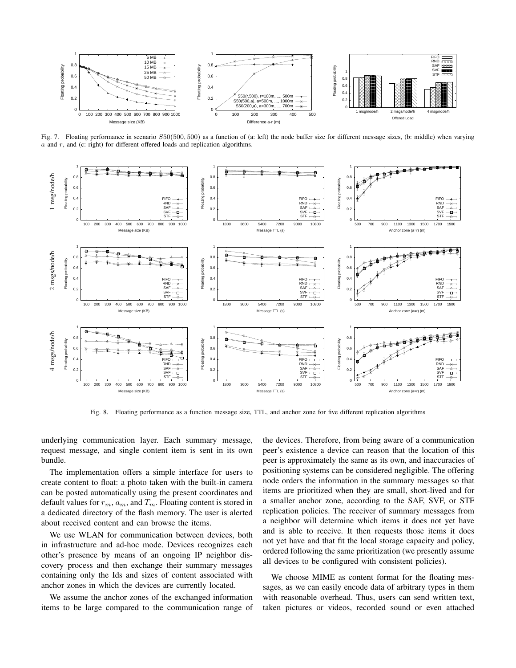

Fig. 7. Floating performance in scenario  $S50(500, 500)$  as a function of (a: left) the node buffer size for different message sizes, (b: middle) when varying a and r, and (c: right) for different offered loads and replication algorithms.



Fig. 8. Floating performance as a function message size, TTL, and anchor zone for five different replication algorithms

underlying communication layer. Each summary message, request message, and single content item is sent in its own bundle.

The implementation offers a simple interface for users to create content to float: a photo taken with the built-in camera can be posted automatically using the present coordinates and default values for  $r_m$ ,  $a_m$ , and  $T_m$ . Floating content is stored in a dedicated directory of the flash memory. The user is alerted about received content and can browse the items.

We use WLAN for communication between devices, both in infrastructure and ad-hoc mode. Devices recognizes each other's presence by means of an ongoing IP neighbor discovery process and then exchange their summary messages containing only the Ids and sizes of content associated with anchor zones in which the devices are currently located.

We assume the anchor zones of the exchanged information items to be large compared to the communication range of the devices. Therefore, from being aware of a communication peer's existence a device can reason that the location of this peer is approximately the same as its own, and inaccuracies of positioning systems can be considered negligible. The offering node orders the information in the summary messages so that items are prioritized when they are small, short-lived and for a smaller anchor zone, according to the SAF, SVF, or STF replication policies. The receiver of summary messages from a neighbor will determine which items it does not yet have and is able to receive. It then requests those items it does not yet have and that fit the local storage capacity and policy, ordered following the same prioritization (we presently assume all devices to be configured with consistent policies).

We choose MIME as content format for the floating messages, as we can easily encode data of arbitrary types in them with reasonable overhead. Thus, users can send written text, taken pictures or videos, recorded sound or even attached